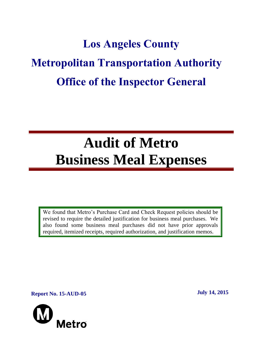# **Los Angeles County Metropolitan Transportation Authority Office of the Inspector General**

# **Audit of Metro Business Meal Expenses**

We found that Metro's Purchase Card and Check Request policies should be revised to require the detailed justification for business meal purchases. We also found some business meal purchases did not have prior approvals required, itemized receipts, required authorization, and justification memos.

**Report No. 15-AUD-05 July 14, 2015**

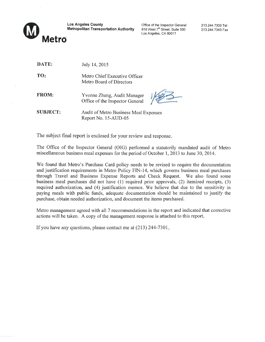

DATE:

**Los Angeles County Metropolitan Transportation Authority** 

Office of the Inspector General 818 West 7<sup>th</sup> Street, Suite 500 Los Angeles, CA 90017

213.244.7300 Tel 213.244.7343 Fax

| TO:          | Metro Chief Executive Officer<br>Metro Board of Directors      |
|--------------|----------------------------------------------------------------|
| <b>FROM:</b> | Yvonne Zheng, Audit Manager<br>Office of the Inspector General |

July 14, 2015

**SUBJECT: Audit of Metro Business Meal Expenses** Report No. 15-AUD-05

The subject final report is enclosed for your review and response.

The Office of the Inspector General (OIG) performed a statutorily mandated audit of Metro miscellaneous business meal expenses for the period of October 1, 2013 to June 30, 2014.

We found that Metro's Purchase Card policy needs to be revised to require the documentation and justification requirements in Metro Policy FIN-14, which governs business meal purchases through Travel and Business Expense Reports and Check Request. We also found some business meal purchases did not have (1) required prior approvals, (2) itemized receipts, (3) required authorization, and (4) justification memos. We believe that due to the sensitivity in paying meals with public funds, adequate documentation should be maintained to justify the purchase, obtain needed authorization, and document the items purchased.

Metro management agreed with all 7 recommendations in the report and indicated that corrective actions will be taken. A copy of the management response is attached to this report.

If you have any questions, please contact me at  $(213)$  244-7301.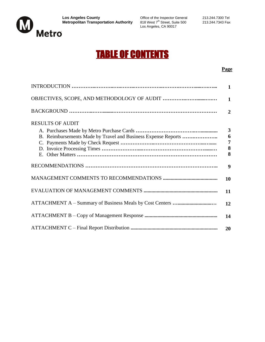

 $L_{\text{max}}$  or the inspector defieral 818 West  $7^{\text{th}}$  Street, Suite 500 Los Angeles, CA 90017

# TABLE OF CONTENTS

#### **Page**

|                         | 1              |
|-------------------------|----------------|
|                         | $\mathbf{1}$   |
|                         | $\mathbf{2}$   |
| <b>RESULTS OF AUDIT</b> |                |
|                         | $\mathbf{3}$   |
|                         | 6              |
|                         | $\overline{7}$ |
|                         | 8              |
|                         | 8              |
|                         | 9              |
|                         | 10             |
|                         | 11             |
|                         | 12             |
|                         | 14             |
|                         | 20             |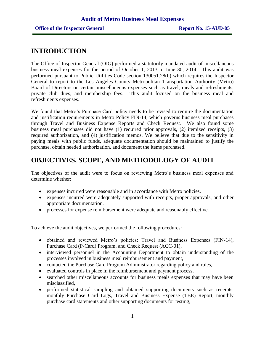## **INTRODUCTION**

The Office of Inspector General (OIG) performed a statutorily mandated audit of miscellaneous business meal expenses for the period of October 1, 2013 to June 30, 2014. This audit was performed pursuant to Public Utilities Code section 130051.28(b) which requires the Inspector General to report to the Los Angeles County Metropolitan Transportation Authority (Metro) Board of Directors on certain miscellaneous expenses such as travel, meals and refreshments, private club dues, and membership fees. This audit focused on the business meal and refreshments expenses.

We found that Metro's Purchase Card policy needs to be revised to require the documentation and justification requirements in Metro Policy FIN-14, which governs business meal purchases through Travel and Business Expense Reports and Check Request. We also found some business meal purchases did not have (1) required prior approvals, (2) itemized receipts, (3) required authorization, and (4) justification memos. We believe that due to the sensitivity in paying meals with public funds, adequate documentation should be maintained to justify the purchase, obtain needed authorization, and document the items purchased.

# **OBJECTIVES, SCOPE, AND METHODOLOGY OF AUDIT**

The objectives of the audit were to focus on reviewing Metro's business meal expenses and determine whether:

- expenses incurred were reasonable and in accordance with Metro policies.
- expenses incurred were adequately supported with receipts, proper approvals, and other appropriate documentation.
- processes for expense reimbursement were adequate and reasonably effective.

To achieve the audit objectives, we performed the following procedures:

- obtained and reviewed Metro's policies: Travel and Business Expenses (FIN-14), Purchase Card (P-Card) Program, and Check Request (ACC-01),
- interviewed personnel in the Accounting Department to obtain understanding of the processes involved in business meal reimbursement and payment,
- contacted the Purchase Card Program Administrator regarding policy and rules,
- evaluated controls in place in the reimbursement and payment process,
- searched other miscellaneous accounts for business meals expenses that may have been misclassified,
- performed statistical sampling and obtained supporting documents such as receipts, monthly Purchase Card Logs, Travel and Business Expense (TBE) Report, monthly purchase card statements and other supporting documents for testing,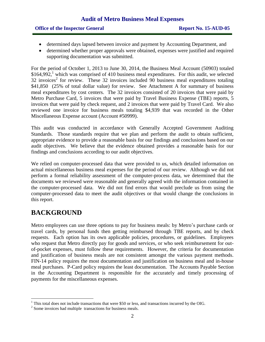#### **Office of the Inspector General <b>Report No. 15-AUD-05**

- determined days lapsed between invoice and payment by Accounting Department, and
- determined whether proper approvals were obtained, expenses were justified and required supporting documentation was submitted.

For the period of October 1, 2013 to June 30, 2014, the Business Meal Account (50903) totaled  $$164,992$ ,<sup>1</sup> which was comprised of 410 business meal expenditures. For this audit, we selected  $32$  invoices<sup>2</sup> for review. These 32 invoices included 90 business meal expenditures totaling \$41,850 (25% of total dollar value) for review. See Attachment A for summary of business meal expenditures by cost centers. The 32 invoices consisted of 20 invoices that were paid by Metro Purchase Card, 5 invoices that were paid by Travel Business Expense (TBE) reports, 5 invoices that were paid by check request, and 2 invoices that were paid by Travel Card. We also reviewed one invoice for business meals totaling \$4,939 that was recorded in the Other Miscellaneous Expense account (Account #50999).

This audit was conducted in accordance with Generally Accepted Government Auditing Standards. Those standards require that we plan and perform the audit to obtain sufficient, appropriate evidence to provide a reasonable basis for our findings and conclusions based on our audit objectives. We believe that the evidence obtained provides a reasonable basis for our findings and conclusions according to our audit objectives.

We relied on computer-processed data that were provided to us, which detailed information on actual miscellaneous business meal expenses for the period of our review. Although we did not perform a formal reliability assessment of the computer-process data, we determined that the documents we reviewed were reasonable and generally agreed with the information contained in the computer-processed data. We did not find errors that would preclude us from using the computer-processed data to meet the audit objectives or that would change the conclusions in this report.

# **BACKGROUND**

 $\overline{a}$ 

Metro employees can use three options to pay for business meals: by Metro's purchase cards or travel cards, by personal funds then getting reimbursed through TBE reports, and by check requests. Each option has its own applicable policies, procedures, or guidelines. Employees who request that Metro directly pay for goods and services, or who seek reimbursement for outof-pocket expenses, must follow these requirements. However, the criteria for documentation and justification of business meals are not consistent amongst the various payment methods. FIN-14 policy requires the most documentation and justification on business meal and in-house meal purchases. P-Card policy requires the least documentation. The Accounts Payable Section in the Accounting Department is responsible for the accurately and timely processing of payments for the miscellaneous expenses.

 $1$  This total does not include transactions that were \$50 or less, and transactions incurred by the OIG.

 $2^2$  Some invoices had multiple transactions for business meals.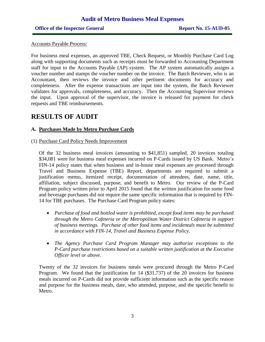#### **Office of the Inspector General <b>Report No. 15-AUD-05**

#### Accounts Payable Process:

For business meal expenses, an approved TBE, Check Request, or Monthly Purchase Card Log along with supporting documents such as receipts must be forwarded to Accounting Department staff for input to the Accounts Payable (AP) system. The AP system automatically assigns a voucher number and stamps the voucher number on the invoice. The Batch Reviewer, who is an Accountant, then reviews the invoice and other pertinent documents for accuracy and completeness. After the expense transactions are input into the system, the Batch Reviewer validates for approvals, completeness, and accuracy. Then the Accounting Supervisor reviews the input. Upon approval of the supervisor, the invoice is released for payment for check requests and TBE reimbursements.

## **RESULTS OF AUDIT**

#### **A. Purchases Made by Metro Purchase Cards**

(1) Purchase Card Policy Needs Improvement

Of the 32 business meal invoices (amounting to \$41,851) sampled, 20 invoices totaling \$34,081 were for business meal expenses incurred on P-Cards issued by US Bank. Metro's FIN-14 policy states that when business and in-house meal expenses are processed through Travel and Business Expense (TBE) Report, departments are required to submit a justification memo, itemized receipt, documentation of attendees, date, name, title, affiliation, subject discussed, purpose, and benefit to Metro. Our review of the P-Card Program policy written prior to April 2015 found that the written justification for some food and beverage purchases did not require the same specific information that is required by FIN-14 for TBE purchases. The Purchase Card Program policy states:

- *Purchase of food and bottled water is prohibited, except food items may be purchased through the Metro Cafeteria or the Metropolitan Water District Cafeteria in support of business meetings. Purchase of other food items and incidentals must be submitted in accordance with FIN-14, Travel and Business Expense Policy.*
- *The Agency Purchase Card Program Manager may authorize exceptions to the P-Card purchase restrictions based on a suitable written justification at the Executive Officer level or above.*

Twenty of the 32 invoices for business meals were procured through the Metro P-Card Program. We found that the justification for 14 (\$31,737) of the 20 invoices for business meals incurred on P-Cards did not provide sufficient information such as the specific reason and purpose for the business meals, date, who attended, purpose, and the specific benefit to Metro.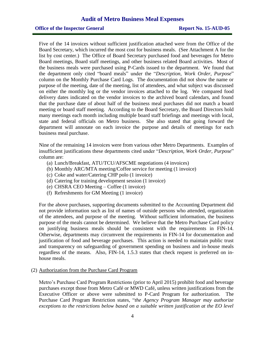Five of the 14 invoices without sufficient justification attached were from the Office of the Board Secretary, which incurred the most cost for business meals. (See Attachment A for the list by cost center.) The Office of Board Secretary purchased food and beverages for Metro Board meetings, Board staff meetings, and other business related Board activities. Most of the business meals were purchased using P-Cards issued to the department. We found that the department only cited "board meals" under the "*Description, Work Order, Purpose*" column on the Monthly Purchase Card Logs. The documentation did not show the name or purpose of the meeting, date of the meeting, list of attendees, and what subject was discussed on either the monthly log or the vendor invoices attached to the log. We compared food delivery dates indicated on the vendor invoices to the archived board calendars, and found that the purchase date of about half of the business meal purchases did not match a board meeting or board staff meeting. According to the Board Secretary, the Board Directors hold many meetings each month including multiple board staff briefings and meetings with local, state and federal officials on Metro business. She also stated that going forward the department will annotate on each invoice the purpose and details of meetings for each business meal purchase.

Nine of the remaining 14 invoices were from various other Metro Departments. Examples of insufficient justifications these departments cited under "*Description, Work Order, Purpose*" column are:

- (a) Lunch/Breakfast, ATU/TCU/AFSCME negotiations (4 invoices)
- (b) Monthly ARC/MTA meeting/Coffee service for meeting (1 invoice)
- (c) Coke and water/Catering CHP polo (1 invoice)
- (d) Catering for training development session (1 invoice)
- (e) CHSRA CEO Meeting Coffee (1 invoice)
- (f) Refreshments for GM Meeting (1 invoice)

For the above purchases, supporting documents submitted to the Accounting Department did not provide information such as list of names of outside persons who attended, organization of the attendees, and purpose of the meeting. Without sufficient information, the business purpose of the meals cannot be determined. We believe that the Metro Purchase Card policy on justifying business meals should be consistent with the requirements in FIN-14. Otherwise, departments may circumvent the requirements in FIN-14 for documentation and justification of food and beverage purchases. This action is needed to maintain public trust and transparency on safeguarding of government spending on business and in-house meals regardless of the means. Also, FIN-14, 1.5.3 states that check request is preferred on inhouse meals.

(2) Authorization from the Purchase Card Program

Metro's Purchase Card Program Restrictions (prior to April 2015) prohibit food and beverage purchases except those from Metro Café or MWD Café, unless written justifications from the Executive Officer or above were submitted to P-Card Program for authorization. The Purchase Card Program Restriction states, "*the Agency Program Manager may authorize exceptions to the restrictions below based on a suitable written justification at the EO level*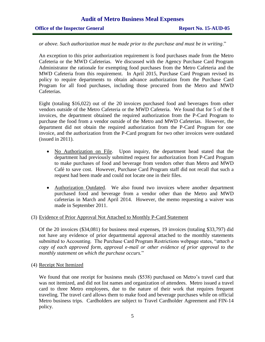#### **Office of the Inspector General <b>Report No. 15-AUD-05**

#### *or above. Such authorization must be made prior to the purchase and must be in writing*."

An exception to this prior authorization requirement is food purchases made from the Metro Cafeteria or the MWD Cafeterias. We discussed with the Agency Purchase Card Program Administrator the rationale for exempting food purchases from the Metro Cafeteria and the MWD Cafeteria from this requirement. In April 2015, Purchase Card Program revised its policy to require departments to obtain advance authorization from the Purchase Card Program for all food purchases, including those procured from the Metro and MWD Cafeterias.

Eight (totaling \$16,022) out of the 20 invoices purchased food and beverages from other vendors outside of the Metro Cafeteria or the MWD Cafeteria. We found that for 5 of the 8 invoices, the department obtained the required authorization from the P-Card Program to purchase the food from a vendor outside of the Metro and MWD Cafeterias. However, the department did not obtain the required authorization from the P-Card Program for one invoice, and the authorization from the P-Card program for two other invoices were outdated (issued in 2011).

- No Authorization on File. Upon inquiry, the department head stated that the department had previously submitted request for authorization from P-Card Program to make purchases of food and beverage from vendors other than Metro and MWD Café to save cost. However, Purchase Card Program staff did not recall that such a request had been made and could not locate one in their files.
- Authorization Outdated. We also found two invoices where another department purchased food and beverage from a vendor other than the Metro and MWD cafeterias in March and April 2014. However, the memo requesting a waiver was made in September 2011.

#### (3) Evidence of Prior Approval Not Attached to Monthly P-Card Statement

Of the 20 invoices (\$34,081) for business meal expenses, 19 invoices (totaling \$33,797) did not have any evidence of prior departmental approval attached to the monthly statements submitted to Accounting. The Purchase Card Program Restrictions webpage states, "*attach a copy of each approved form, approval e-mail or other evidence of prior approval to the monthly statement on which the purchase occurs.*"

(4) Receipt Not Itemized

We found that one receipt for business meals (\$538) purchased on Metro's travel card that was not itemized, and did not list names and organization of attendees. Metro issued a travel card to three Metro employees, due to the nature of their work that requires frequent traveling. The travel card allows them to make food and beverage purchases while on official Metro business trips. Cardholders are subject to Travel Cardholder Agreement and FIN-14 policy.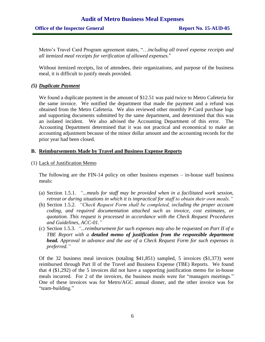Metro's Travel Card Program agreement states, "…*including all travel expense receipts and all itemized meal receipts for verification of allowed expenses.*"

Without itemized receipts, list of attendees, their organizations, and purpose of the business meal, it is difficult to justify meals provided.

#### *(5) Duplicate Payment*

We found a duplicate payment in the amount of \$12.51 was paid twice to Metro Cafeteria for the same invoice. We notified the department that made the payment and a refund was obtained from the Metro Cafeteria. We also reviewed other monthly P-Card purchase logs and supporting documents submitted by the same department, and determined that this was an isolated incident. We also advised the Accounting Department of this error. The Accounting Department determined that it was not practical and economical to make an accounting adjustment because of the minor dollar amount and the accounting records for the prior year had been closed.

#### **B. Reimbursements Made by Travel and Business Expense Reports**

#### (1) Lack of Justification Memo

The following are the FIN-14 policy on other business expenses – in-house staff business meals:

- (a) Section 1.5.1. *"...meals for staff may be provided when in a facilitated work session, retreat or during situations in which it is impractical for staff to obtain their own meals."*
- (b) Section 1.5.2. *"Check Request Form shall be completed, including the proper account coding, and required documentation attached such as invoice, cost estimates, or quotation. This request is processed in accordance with the Check Request Procedures and Guidelines, ACC-01."*
- (c) Section 1.5.3. *"...reimbursement for such expenses may also be requested on Part II of a TBE Report with a detailed memo of justification from the responsible department head. Approval in advance and the use of a Check Request Form for such expenses is preferred."*

Of the 32 business meal invoices (totaling \$41,851) sampled, 5 invoices (\$1,373) were reimbursed through Part II of the Travel and Business Expense (TBE) Reports. We found that 4 (\$1,292) of the 5 invoices did not have a supporting justification memo for in-house meals incurred. For 2 of the invoices, the business meals were for "managers meetings." One of these invoices was for Metro/AGC annual dinner, and the other invoice was for "team-building."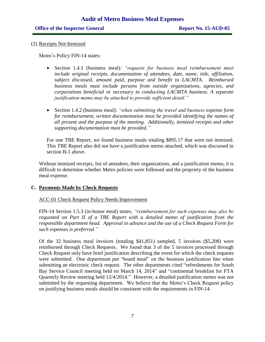(2) Receipts Not Itemized

Metro's Policy FIN-14 states:

- Section 1.4.1 (business meal): *"requests for business meal reimbursement must include original receipts, documentation of attendees, date, name, title, affiliation, subject discussed, amount paid, purpose and benefit to LACMTA. Reimbursed business meals must include persons from outside organizations, agencies, and corporations beneficial or necessary to conducting LACMTA business. A separate justification memo may be attached to provide sufficient detail."*
- Section 1.4.2 (business meal): *"when submitting the travel and business expense form for reimbursement, written documentation must be provided identifying the names of all present and the purpose of the meeting. Additionally, itemized receipts and other supporting documentation must be provided."*

For one TBE Report, we found business meals totaling \$895.17 that were not itemized. This TBE Report also did not have a justification memo attached, which was discussed in section B-1 above.

Without itemized receipts, list of attendees, their organizations, and a justification memo, it is difficult to determine whether Metro policies were followed and the propriety of the business meal expense.

#### **C. Payments Made by Check Requests**

#### ACC-01 Check Request Policy Needs Improvement

FIN-14 Section 1.5.3 (in-house meal) states, *"reimbursement for such expenses may also be requested on Part II of a TBE Report with a detailed memo of justification from the responsible department head. Approval in advance and the use of a Check Request Form for such expenses is preferred."*

Of the 32 business meal invoices (totaling \$41,851) sampled, 5 invoices (\$5,208) were reimbursed through Check Requests. We found that 3 of the 5 invoices processed through Check Request only have brief justification describing the event for which the check requests were submitted. One department put "board meal" on the business justification line when submitting an electronic check request. The other departments cited "refreshments for South Bay Service Council meeting held on March 14, 2014" and "continental breakfast for FTA Quarterly Review meeting held 12/4/2014." However, a detailed justification memo was not submitted by the requesting department. We believe that the Metro's Check Request policy on justifying business meals should be consistent with the requirements in FIN-14.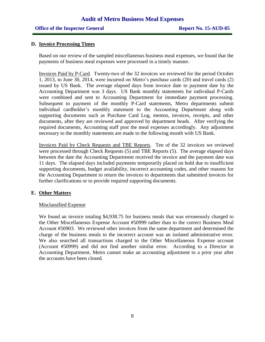#### **Office of the Inspector General <b>Report No. 15-AUD-05**

#### **D. Invoice Processing Times**

Based on our review of the sampled miscellaneous business meal expenses, we found that the payments of business meal expenses were processed in a timely manner.

Invoices Paid by P-Card. Twenty-two of the 32 invoices we reviewed for the period October 1, 2013, to June 30, 2014, were incurred on Metro's purchase cards (20) and travel cards (2) issued by US Bank. The average elapsed days from invoice date to payment date by the Accounting Department was 3 days. US Bank monthly statements for individual P-Cards were combined and sent to Accounting Department for immediate payment processing. Subsequent to payment of the monthly P-Card statements, Metro departments submit individual cardholder's monthly statement to the Accounting Department along with supporting documents such as Purchase Card Log, memos, invoices, receipts, and other documents, after they are reviewed and approved by department heads. After verifying the required documents, Accounting staff post the meal expenses accordingly. Any adjustment necessary to the monthly statements are made to the following month with US Bank.

Invoices Paid by Check Requests and TBE Reports. Ten of the 32 invoices we reviewed were processed through Check Requests (5) and TBE Reports (5). The average elapsed days between the date the Accounting Department received the invoice and the payment date was 11 days. The elapsed days included payments temporarily placed on hold due to insufficient supporting documents, budget availability, incorrect accounting codes, and other reasons for the Accounting Department to return the invoices to departments that submitted invoices for further clarifications or to provide required supporting documents.

#### **E. Other Matters**

#### Misclassified Expense

We found an invoice totaling \$4,938.75 for business meals that was erroneously charged to the Other Miscellaneous Expense Account #50999 rather than to the correct Business Meal Account #50903. We reviewed other invoices from the same department and determined the charge of the business meals to the incorrect account was an isolated administrative error. We also searched all transactions charged to the Other Miscellaneous Expense account (Account #50999) and did not find another similar error. According to a Director in Accounting Department, Metro cannot make an accounting adjustment to a prior year after the accounts have been closed.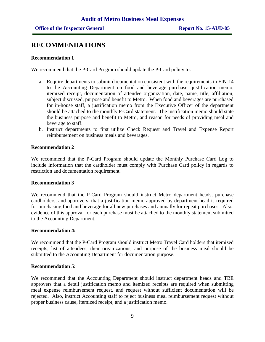## **RECOMMENDATIONS**

#### **Recommendation 1**

We recommend that the P-Card Program should update the P-Card policy to:

- a. Require departments to submit documentation consistent with the requirements in FIN-14 to the Accounting Department on food and beverage purchase: justification memo, itemized receipt, documentation of attendee organization, date, name, title, affiliation, subject discussed, purpose and benefit to Metro. When food and beverages are purchased for in-house staff, a justification memo from the Executive Officer of the department should be attached to the monthly P-Card statement. The justification memo should state the business purpose and benefit to Metro, and reason for needs of providing meal and beverage to staff.
- b. Instruct departments to first utilize Check Request and Travel and Expense Report reimbursement on business meals and beverages.

#### **Recommendation 2**

We recommend that the P-Card Program should update the Monthly Purchase Card Log to include information that the cardholder must comply with Purchase Card policy in regards to restriction and documentation requirement.

#### **Recommendation 3**

We recommend that the P-Card Program should instruct Metro department heads, purchase cardholders, and approvers, that a justification memo approved by department head is required for purchasing food and beverage for all new purchases and annually for repeat purchases. Also, evidence of this approval for each purchase must be attached to the monthly statement submitted to the Accounting Department.

#### **Recommendation 4:**

We recommend that the P-Card Program should instruct Metro Travel Card holders that itemized receipts, list of attendees, their organizations, and purpose of the business meal should be submitted to the Accounting Department for documentation purpose.

#### **Recommendation 5:**

We recommend that the Accounting Department should instruct department heads and TBE approvers that a detail justification memo and itemized receipts are required when submitting meal expense reimbursement request, and request without sufficient documentation will be rejected. Also, instruct Accounting staff to reject business meal reimbursement request without proper business cause, itemized receipt, and a justification memo.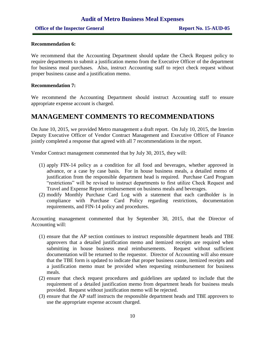#### **Recommendation 6:**

We recommend that the Accounting Department should update the Check Request policy to require departments to submit a justification memo from the Executive Officer of the department for business meal purchases. Also, instruct Accounting staff to reject check request without proper business cause and a justification memo.

#### **Recommendation 7:**

We recommend the Accounting Department should instruct Accounting staff to ensure appropriate expense account is charged.

## **MANAGEMENT COMMENTS TO RECOMMENDATIONS**

On June 10, 2015, we provided Metro management a draft report. On July 10, 2015, the Interim Deputy Executive Officer of Vendor Contract Management and Executive Officer of Finance jointly completed a response that agreed with all 7 recommendations in the report.

Vendor Contract management commented that by July 30, 2015, they will:

- (1) apply FIN-14 policy as a condition for all food and beverages, whether approved in advance, or a case by case basis. For in house business meals, a detailed memo of justification from the responsible department head is required. Purchase Card Program "restrictions" will be revised to instruct departments to first utilize Check Request and Travel and Expense Report reimbursement on business meals and beverages.
- (2) modify Monthly Purchase Card Log with a statement that each cardholder is in compliance with Purchase Card Policy regarding restrictions, documentation requirements, and FIN-14 policy and procedures.

Accounting management commented that by September 30, 2015, that the Director of Accounting will:

- (1) ensure that the AP section continues to instruct responsible department heads and TBE approvers that a detailed justification memo and itemized receipts are required when submitting in house business meal reimbursements. Request without sufficient documentation will be returned to the requestor. Director of Accounting will also ensure that the TBE form is updated to indicate that proper business cause, itemized receipts and a justification memo must be provided when requesting reimbursement for business meals.
- (2) ensure that check request procedures and guidelines are updated to include that the requirement of a detailed justification memo from department heads for business meals provided. Request without justification memo will be rejected.
- (3) ensure that the AP staff instructs the responsible department heads and TBE approvers to use the appropriate expense account charged.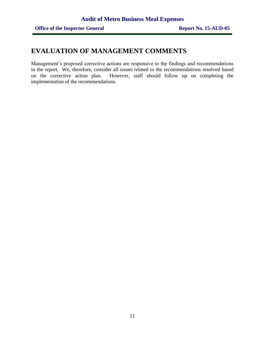# **EVALUATION OF MANAGEMENT COMMENTS**

Management's proposed corrective actions are responsive to the findings and recommendations in the report. We, therefore, consider all issues related to the recommendations resolved based on the corrective action plan. However, staff should follow up on completing the implementation of the recommendations.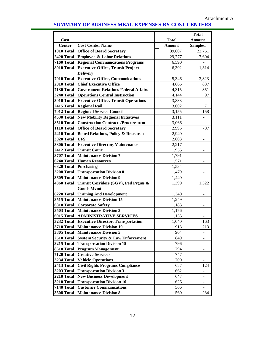## **SUMMARY OF BUSINESS MEAL EXPENSES BY COST CENTERS**

|                   |                                               |               | <b>Total</b>                 |
|-------------------|-----------------------------------------------|---------------|------------------------------|
| Cost              |                                               | <b>Total</b>  | <b>Amount</b>                |
| Center            | <b>Cost Center Name</b>                       | <b>Amount</b> | <b>Sampled</b>               |
| 1010 Total        | <b>Office of Board Secretary</b>              | 39,607        | 23,751                       |
| 2420 Total        | <b>Employee &amp; Labor Relations</b>         | 29,777        | 7,604                        |
| 7160 Total        | <b>Regional Communications Programs</b>       | 6,590         |                              |
| 8010 Total        | <b>Executive Office, Transit Project</b>      | 6,302         | 1,314                        |
|                   | <b>Delivery</b>                               |               |                              |
| 7010 Total        | <b>Executive Office, Communications</b>       | 5,346         | 3,823                        |
| 2010 Total        | <b>Chief Executive Office</b>                 | 4,665         | 837                          |
| 7130 Total        | <b>Government Relations Federal Affairs</b>   | 4,315         | 351                          |
| 3240 Total        | <b>Operations Central Instruction</b>         | 4,144         | 97                           |
| 3010 Total        | <b>Executive Office, Transit Operations</b>   | 3,833         | $\blacksquare$               |
| 2415 Total        | <b>Regional Rail</b>                          | 3,602         | 71                           |
| 7012 Total        | <b>Regional Service Council</b>               | 3,155         | 158                          |
| 4530 Total        | <b>New Mobility Regional Initiatives</b>      | 3,111         |                              |
| 8510 Total        | <b>Construction Contracts/Procurement</b>     | 3,066         |                              |
| 1110 Total        | <b>Office of Board Secretary</b>              | 2,995         | 787                          |
| 2410 Total        | <b>Board Relations, Policy &amp; Research</b> | 2,940         |                              |
| <b>3020 Total</b> | <b>UFS</b>                                    | 2,603         | $\qquad \qquad \blacksquare$ |
| <b>3306 Total</b> | <b>Executive Director, Maintenance</b>        | 2,217         | Ξ.                           |
| 2412 Total        | <b>Transit Court</b>                          | 1,955         | ۰                            |
| <b>3707 Total</b> | <b>Maintenance Division 7</b>                 | 1,791         |                              |
| 6240 Total        | <b>Human Resources</b>                        | 1,571         |                              |
| 6320 Total        | <b>Purchasing</b>                             | 1,534         |                              |
| 3208 Total        | <b>Transportation Division 8</b>              | 1,479         |                              |
| 3609 Total        | <b>Maintenance Division 9</b>                 | 1,440         |                              |
| 4360 Total        | Transit Corridors (SGV), Ped Prgms &          | 1,399         | 1,322                        |
|                   | <b>Goods Mymt</b>                             |               |                              |
| 6220 Total        | <b>Training And Development</b>               | 1,340         | $\blacksquare$               |
| 3515 Total        | <b>Maintenance Division 15</b>                | 1,249         |                              |
| 6810 Total        | <b>Corporate Safety</b>                       | 1,183         |                              |
| <b>3503 Total</b> | <b>Maintenance Division 3</b>                 | 1,176         |                              |
| 6915 Total        | <b>ADMINISTRATIVE SERVICES</b>                | 1,135         |                              |
| <b>3232 Total</b> | <b>Executive Director, Transportation</b>     | 1,040         | 163                          |
| <b>3710 Total</b> | <b>Maintenance Division 10</b>                | 918           | 213                          |
| 3805 Total        | <b>Maintenance Division 5</b>                 | 904           |                              |
| 2610 Total        | <b>System Security &amp; Law Enforcement</b>  | 849           | $\qquad \qquad \blacksquare$ |
| 3215 Total        | <b>Transportation Division 15</b>             | 796           | $\overline{\phantom{a}}$     |
| 8610 Total        | <b>Program Management</b>                     | 794           |                              |
| <b>7120 Total</b> | <b>Creative Services</b>                      | 747           |                              |
| <b>3234 Total</b> | <b>Vehicle Operations</b>                     | 700           |                              |
| 2413 Total        | <b>Civil Rights Programs Compliance</b>       | 687           | 124                          |
| 3203 Total        | <b>Transportation Division 3</b>              | 662           |                              |
| 2210 Total        | <b>New Business Development</b>               | 647           | $\overline{\phantom{0}}$     |
| 3210 Total        | <b>Transportation Division 10</b>             | 626           | Ξ.                           |
| 7140 Total        | <b>Customer Communications</b>                | 566           | $\qquad \qquad \blacksquare$ |
| <b>3508 Total</b> | <b>Maintenance Division 8</b>                 | 560           | 284                          |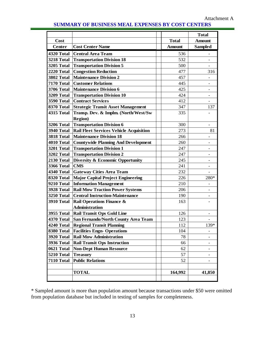| Cost<br><b>Center</b> |                                                |               | <b>Total</b>             |
|-----------------------|------------------------------------------------|---------------|--------------------------|
|                       |                                                | <b>Total</b>  | <b>Amount</b>            |
|                       | <b>Cost Center Name</b>                        | <b>Amount</b> | <b>Sampled</b>           |
| 4320 Total            | <b>Central Area Team</b>                       | 536           |                          |
| 3218 Total            | <b>Transportation Division 18</b>              | 532           |                          |
| <b>3205 Total</b>     | <b>Transportation Division 5</b>               | 500           | $\overline{\phantom{0}}$ |
| 2220 Total            | <b>Congestion Reduction</b>                    | 477           | 316                      |
| <b>3802 Total</b>     | <b>Maintenance Division 2</b>                  | 457           |                          |
| 7170 Total            | <b>Customer Relations</b>                      | 445           | -                        |
| <b>3706 Total</b>     | <b>Maintenance Division 6</b>                  | 425           |                          |
| 3209 Total            | <b>Transportation Division 10</b>              | 424           |                          |
| 3590 Total            | <b>Contract Services</b>                       | 412           |                          |
| 8370 Total            | <b>Strategic Transit Asset Management</b>      | 347           | 137                      |
| 4315 Total            | Transp. Dev. & Implm. (North/West/Sw           | 335           |                          |
|                       | <b>Region</b> )                                |               |                          |
| 3206 Total            | <b>Transportation Division 6</b>               | 300           |                          |
| <b>3940 Total</b>     | <b>Rail Fleet Services Vehicle Acquisition</b> | 273           | 81                       |
| 3818 Total            | <b>Maintenance Division 18</b>                 | 266           |                          |
| 4010 Total            | <b>Countywide Planning And Development</b>     | 260           |                          |
| 3201 Total            | <b>Transportation Division 1</b>               | 247           | -                        |
| 3202 Total            | <b>Transportation Division 2</b>               | 247           |                          |
| 2130 Total            | Diversity & Economic Opportunity               | 245           |                          |
| <b>3366 Total</b>     | <b>CMS</b>                                     | 241           |                          |
| 4340 Total            | <b>Gateway Cities Area Team</b>                | 232           | $\overline{a}$           |
| 8320 Total            | <b>Major Capital Project Engineering</b>       | 226           | 280*                     |
| 9210 Total            | <b>Information Management</b>                  | 210           | -                        |
| 3928 Total            | <b>Rail Mow Traction Power Systems</b>         | 206           | -                        |
| <b>3250 Total</b>     | <b>Central Instruction-Maintenance</b>         | 190           |                          |
| 3910 Total            | <b>Rail Operations Finance &amp;</b>           | 163           |                          |
|                       | <b>Administration</b>                          |               |                          |
| <b>3955 Total</b>     | <b>Rail Transit Ops Gold Line</b>              | 126           |                          |
| 4370 Total            | San Fernando/North County Area Team            | 123           |                          |
| 4240 Total            | <b>Regional Transit Planning</b>               | 112           | 139*                     |
| 8380 Total            | <b>Facilities Engn- Operations</b>             | 104           | -                        |
| <b>3920 Total</b>     | <b>Rail Mow Administration</b>                 | 78            |                          |
| <b>3936 Total</b>     | <b>Rail Transit Ops Instruction</b>            | 66            |                          |
| 0621 Total            | <b>Non-Dept Human Resource</b>                 | 62            |                          |
| 5210 Total            | <b>Treasury</b>                                | 57            |                          |
| 7110 Total            | <b>Public Relations</b>                        | 52            |                          |
|                       |                                                |               |                          |
|                       | <b>TOTAL</b>                                   | 164,992       | 41,850                   |
|                       |                                                |               |                          |

#### **SUMMARY OF BUSINESS MEAL EXPENSES BY COST CENTERS**

\* Sampled amount is more than population amount because transactions under \$50 were omitted from population database but included in testing of samples for completeness.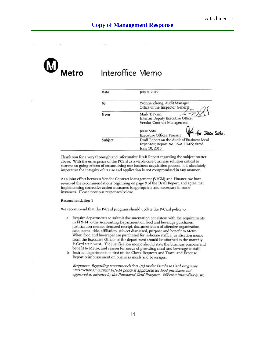

# Interoffice Memo

| Date    | July 9, 2015                                                                                         |
|---------|------------------------------------------------------------------------------------------------------|
| To      | Yvonne Zheng, Audit Manager<br>Office of the Inspector General                                       |
| From    | Mark T. Penn<br>Interim Deputy Executive Officer<br>Vendor Contract Management                       |
|         | Jesse Soto<br>for Jesse Soto.<br>Executive Officer, Finance                                          |
| Subject | Draft Report on the Audit of Business Meal<br>Expenses; Report No. 15-AUD-05; dated<br>June 10, 2015 |

Thank you for a very thorough and informative Draft Report regarding the subject matter above. With the emergence of the PCard as a viable core business solution critical to current on-going efforts of streamlining our business acquisition process, it is absolutely imperative the integrity of its use and application is not compromised in any manner.

As a joint effort between Vendor Contract Management (V/CM) and Finance, we have reviewed the recommendations beginning on page 9 of the Draft Report, and agree that implementing corrective action measures is appropriate and necessary in some instances. Please note our responses below:

#### Recommendation 1

We recommend that the P-Card program should update the P-Card policy to:

- a. Require departments to submit documentation consistent with the requirements in FIN-14 to the Accounting Department on food and beverage purchases: justification memo, itemized receipt, documentation of attendee organization, date, name, title, affiliation, subject discussed, purpose and benefit to Metro. When food and beverages are purchased for in-house staff, a justification memo from the Executive Officer of the department should be attached to the monthly P-Card statement. The justification memo should state the business purpose and benefit to Metro, and reason for needs of providing meal and beverage to staff.
- b. Instruct departments to first utilize Check Requests and Travel and Expense Report reimbursement on business meals and beverages.

Response: Regarding recommendation 1(a) under Purchase Card Programs "Restrictions," current FIN-14 policy is applicable for food purchases not approved in advance by the Purchased Card Program. Effective immediately, we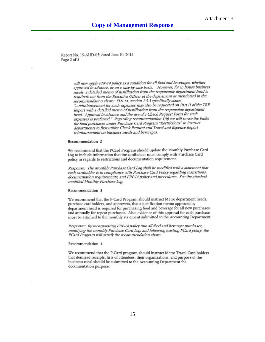Report No. 15-AUD-05; dated June 10, 2015 Page 2 of 5

> will now apply FIN-14 policy as a condition for all food and beverages, whether approved in advance, or on a case by case basis. However, for in house business meals, a detailed memo of justification from the responsible department head is required; not from the Executive Officer of the department as mentioned in the recommendation above: FIN 14, section 1.5.3 specifically states "... reimbursement for such expenses may also be requested on Part II of the TBE Report with a detailed memo of justification from the responsible department head. Approval in advance and the use of a Check Request Form for such expenses is preferred." Regarding recommendation 1(b) we will revise the bullet for food purchases under Purchase Card Program "Restrictions" to instruct departments to first utilize Check Request and Travel and Expense Report reimbursement on business meals and beverages.

#### Recommendation 2

We recommend that the PCard Program should update the Monthly Purchase Card Log to include information that the cardholder must comply with Purchase Card policy in regards to restrictions and documentation requirement.

Response: The Monthly Purchase Card Log shall be modified with a statement that each cardholder is in compliance with Purchase Card Policy regarding restrictions, documentation requirements, and FIN-14 policy and procedures. See the attached modified Monthly Purchase Log.

#### Recommendation 3

We recommend that the P-Card Program should instruct Metro department heads, purchase cardholders, and approvers, that a justification memo approved by department head is required for purchasing food and beverage for all new purchases and annually for repeat purchases. Also, evidence of this approval for each purchase must be attached to the monthly statement submitted to the Accounting Department.

Response: By incorporating FIN-14 policy into all food and beverage purchases, modifying the monthly Purchase Card Log, and following existing PCard policy, the PCard Program will satisfy the recommendation above.

#### Recommendation 4

We recommend that the P-Card program should instruct Metro Travel Card holders that itemized receipts, lists of attendees, their organizations, and purpose of the business meal should be submitted to the Accounting Department for documentation purpose: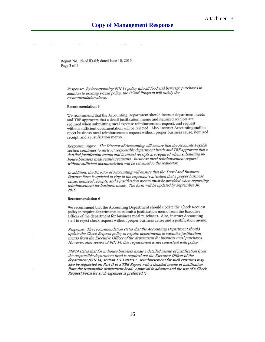Report No. 15-AUD-05; dated June 10, 2015 Page 3 of 5

Response: By incorporating FIN-14 policy into all food and beverage purchases in addition to existing PCard policy, the PCard Program will satisfy the recommendation above.

#### Recommendation 5

We recommend that the Accounting Department should instruct department heads and TBE approvers that a detail justification memo and itemized receipts are required when submitting meal expense reimbursement request, and request without sufficient documentation will be rejected. Also, instruct Accounting staff to reject business meal reimbursement request without proper business cause, itemized receipt, and a justification memo.

Response: Agree. The Director of Accounting will ensure that the Accounts Payable section continues to instruct responsible department heads and TBE approvers that a detailed justification memo and itemized receipts are required when submitting inhouse business meal reimbursements. Business meal reimbursement request without sufficient documentation will be returned to the requestor.

In addition, the Director of Accounting will ensure that the Travel and Business Expense form is updated to ring to the requestor's attention that a proper business cause, itemized receipts, and a justification memo must be provided when requesting reimbursement for business meals. The form will be updated by September 30, 2015.

#### Recommendation 6

We recommend that the Accounting Department should update the Check Request policy to require departments to submit a justification memo from the Executive Officer of the department for business meal purchases. Also, instruct Accounting staff to reject check request without proper business cause and a justification memo.

Response: The recommendation states that the Accounting Department should update the Check Request policy to require departments to submit a justification memo from the Executive Officer of the department for business meal purchases. However, after review of FIN 14, this requirement is not consistent with policy.

FIN14 states that for in house business meals a detailed memo of justification from the responsible department head is required not the Executive Officer of the department (FIN 14, section 1.5.3 states "...reimbursement for such expenses may also be requested on Part II of a TBE Report with a detailed memo of justification from the responsible department head. Approval in advance and the use of a Check Request Form for such expenses is preferred.")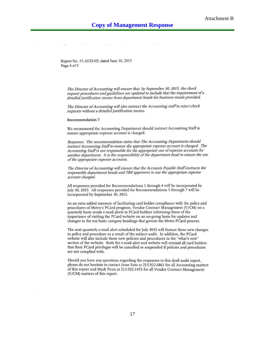Report No. 15-AUD-05; dated June 10, 2015 Page 4 of 5

The Director of Accounting will ensure that, by September 30, 2015, the check request procedures and guidelines are updated to include that the requirement of a detailed justification memo from department heads for business meals provided.

The Director of Accounting will also instruct the Accounting staff to reject check requests without a detailed justification memo.

#### Recommendation 7

We recommend the Accounting Department should instruct Accounting Staff to ensure appropriate expense account is charged.

Response: The recommendation states that The Accounting Department should instruct Accounting Staff to ensure the appropriate expense account is charged. The Accounting Staff is not responsible for the appropriate use of expense accounts for another department. It is the responsibility of the department head to ensure the use of the appropriate expense accounts.

The Director of Accounting will ensure that the Accounts Payable Staff instructs the responsible department heads and TBE approvers to use the appropriate expense account charged.

All responses provided for Recommendations 1 through 4 will be incorporated by July 30, 2015. All responses provided for Recommendations 5 through 7 will be incorporated by September 30, 2015.

As an extra added measure of facilitating card holder compliance with the policy and procedures of Metro's PCard program, Vendor Contract Management (V/CM) on a quarterly basis sends e-mail alerts to PCard holders informing them of the importance of visiting the PCard website on an on-going basis for updates and changes to the ten basic category headings that govern the Metro PCard process.

The next quarterly e-mail alert scheduled for July 2015 will feature these new changes in policy and procedure as a result of the subject audit. In addition, the PCard website will also include these new policies and procedures in the "what's new" section of the website. Both the e-mail alert and website will remind all card holders that their PCard privileges will be cancelled or suspended if policies and procedures are not complied with.

Should you have any questions regarding the responses to this draft audit report, please do not hesitate to contact Jesse Soto at 213.922.6861 for all Accounting matters of this report and Mark Penn at 213.922.1455 for all Vendor Contract Management (V/CM) matters of this report.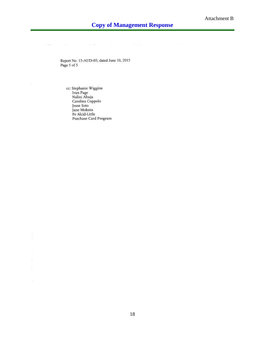Report No. 15-AUD-05; dated June 10, 2015 Page 5 of 5

 $\sim 10^{-10}$  mass and

 $\sim$  100

cc: Stephanie Wiggins<br>Ivan Page<br>Nalini Ahuja<br>Carolina Coppolo<br>Jesse Soto Jane Mohsin Fe Alcid-Little Purchase Card Program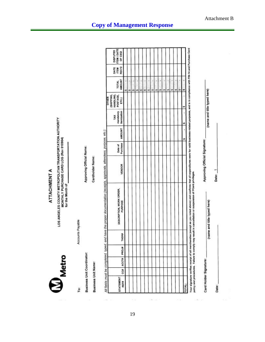**ATTACHMENT A** 

LOS ANGELES COUNTY METROPOLITAN TRANSPORTATION AUTHORITY<br>MONTHLY PURCHASE CARD LOG (Rev 010904)<br>for the Month of

Metro

Accounts Payable

**Business Unit Coordinator:** 

To:

**Business Unit Name:** 

 $\overline{\mathcal{D}}$ 

Approving Official Name:

Cardholder Name:

All fields must be completed, typed, and have the proper documentation (receipts, approvals, attendees, purpose, etc.):

| STATEMENT<br>REF# | ca | ACCT# PROJE | TASK# | DESCRIPTION, WORK ORDER,<br><b>PURPOSE</b> | VENDOR | Purchase<br>Date of | AMOUNT | itemization<br>mandatory<br>TAX | (SHIPPING,<br>HANDLING,<br>POSTAGE,<br><b>OTHER</b><br>ETC.) | <b>AMOUNT</b><br><b>TOTAL</b> | REC'D<br>DATE<br><b>ITEM</b> | ITEM / DATE<br>DISPUTED<br>OF CSQI |
|-------------------|----|-------------|-------|--------------------------------------------|--------|---------------------|--------|---------------------------------|--------------------------------------------------------------|-------------------------------|------------------------------|------------------------------------|
|                   |    |             |       |                                            |        |                     |        |                                 |                                                              | w                             |                              |                                    |
|                   |    |             |       |                                            |        |                     |        |                                 |                                                              | w                             |                              |                                    |
|                   |    |             |       |                                            |        |                     |        |                                 |                                                              |                               |                              |                                    |
|                   |    |             |       |                                            |        |                     |        |                                 |                                                              | sh                            |                              |                                    |
|                   |    |             |       |                                            |        |                     |        |                                 |                                                              | w.                            |                              |                                    |
|                   |    |             |       |                                            |        |                     |        |                                 |                                                              | ļ<br>Ŵ9                       |                              |                                    |
|                   |    |             |       |                                            |        |                     |        |                                 |                                                              | w                             |                              |                                    |
|                   |    |             |       |                                            |        |                     |        |                                 |                                                              | w                             |                              |                                    |
|                   |    |             |       |                                            |        |                     |        |                                 |                                                              | w                             |                              |                                    |
|                   |    |             |       |                                            |        |                     |        |                                 |                                                              | ٢<br>w                        |                              |                                    |
|                   |    |             |       |                                            |        |                     |        |                                 |                                                              | ₩                             |                              |                                    |
|                   |    |             |       |                                            |        |                     |        |                                 |                                                              | w                             |                              |                                    |
|                   |    |             |       |                                            |        |                     |        |                                 |                                                              | ï<br>w                        |                              |                                    |
|                   |    |             |       |                                            |        |                     |        |                                 |                                                              | w                             |                              |                                    |
|                   |    |             |       |                                            |        |                     |        |                                 |                                                              | 3H)                           |                              |                                    |
| <b>TOTAL:</b>     |    |             |       |                                            |        |                     |        |                                 |                                                              |                               |                              |                                    |

policy and procedures. Failure to comply may result in cancellation or suspension of PCard privileges.

Approving Official Signature:

(name and title typed here) Card Holder Signature:

Date:

 $\dot{a}$ 

Date: 1

(name and title typed here)

330